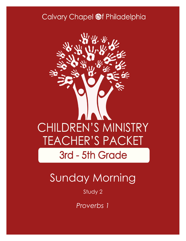### Calvary Chapel @f Philadelphia



# Sunday Morning

#### Study 2

*Proverbs 1*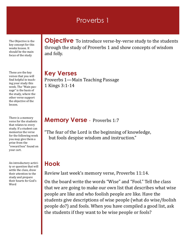#### Proverbs 1

The Objective is the key concept for this weeks lesson. It should be the main focus of the study

These are the key verses that you will find helpful in teaching your study this week. The "Main passage" is the basis of the study, where the other verse support the objective of the lesson.

There is a memory verse for the students that relates to every study. If a student can memorize the verse for the following week you may give them a prize from the "reward box" found on your cart.

An introductory activity or question that will settle the class, draw their attention to the study and prepare their hearts for God's Word

**Objective** To introduce verse-by-verse study to the students through the study of Proverbs 1 and show concepts of wisdom and folly.

**Key Verses** Proverbs 1—Main Teaching Passage 1 Kings 3:1-14

#### **Memory Verse** - Proverbs 1:7

"The fear of the Lord is the beginning of knowledge, but fools despise wisdom and instruction."

#### **Hook**

Review last week's memory verse, Proverbs 11:14.

On the board write the words "Wise" and "Fool." Tell the class that we are going to make our own list that describes what wise people are like and who foolish people are like. Have the students give descriptions of wise people (what do wise/foolish people do?) and fools. When you have compiled a good list, ask the students if they want to be wise people or fools?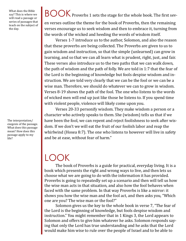What does the Bible say? This is where we will read a passage or series of passages that teach on the subject of the day.

The interpretation/ exegesis of the passage. What does this passage mean? How does this passage apply to my life?

### BOOK Proverbs 1 sets the stage for the whole book. The first sev-

en verses outline the theme for the book of Proverbs, then the remaining verses encourage us to seek wisdom and then to embrace it, turning from the words of the wicked and heeding the words of wisdom itself.

Verses 1-7 introduce us to the author, Solomon, and also the reason that these proverbs are being collected. The Proverbs are given to us to gain wisdom and instruction, so that the simple (unlearned) can grow in learning, and so that we can all learn what is prudent, right, just, and fair. These verses also introduce us to the two paths that we can walk down, the path of wisdom and the path of folly. We are told in 1:7 that the fear of the Lord is the beginning of knowledge but fools despise wisdom and instruction. We are told very clearly that we can be the fool or we can be a wise man. Therefore, we should do whatever we can to grow in wisdom. Verses 8-19 shows the path of the fool. The one who listens to the words of wicked men will end up just like those he listens to. If you spend time with violent people, violence will likely come upon you.

Verses 20-33 personify wisdom. They make wisdom a person or a character who actively speaks to them. She (wisdom) tells us that if we have been the fool, we can repent and reject foolishness to seek after wisdom. If we don't we will eat the fruit of our foolish labor and reap the whirlwind (Hosea 8:7). The one who listens to however will live in safety and be at ease, without fear of harm."

### LOOK

The book of Proverbs is a guide for practical, everyday living. It is a book which presents the right and wrong ways to live, and then lets us choose what we are going to do with the information it has provided. Proverbs is going to repeatedly set up a scenario and then will tell us how the wise man acts in that situation, and also how the fool behaves when faced with the same problem. In that way Proverbs is like a mirror: it shows you how the wise man and the fool act, and then asks you, "Which one are you? The wise man or the fool?"

Solomon gives us the key to the whole book in verse 7, "The fear of the Lord is the beginning of knowledge, but fools despise wisdom and instruction." You might remember that in 1 Kings 3, the Lord appears to Solomon and offers to give him whatever he asks. Solomon responds saying that only the Lord has true understanding and he asks that the Lord would make him wise to rule over the people of Israel and to be able to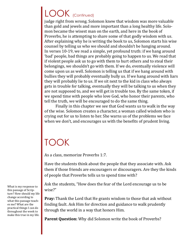## LOOK (Continued)

judge right from wrong. Solomon knew that wisdom was more valuable than gold and jewels and more important than a long healthy life. Solomon became the wisest man on the earth, and here in the book of Proverbs, he is attempting to share some of that godly wisdom with us. After explaining why he is writing the book to us, Solomon starts his wise counsel by telling us who we should and shouldn't be hanging around. In verses 10-19, we read a simple, yet profound truth: if we hang around 'bad' people, bad things are probably going to happen to us. We read that if violent people ask us to go with them to hurt others and to steal their belongings, we shouldn't go with them. If we do, eventually violence will come upon us as well. Solomon is telling us that if we hang around with bullies they will probably eventually bully us. If we hang around with liars they will probably lie to us. If we sit next to the kid in class who always gets in trouble for talking, eventually they will be talking to us when they are not supposed to, and we will get in trouble too. By the same token, if we spend time with people who love God, who honor their parents, who tell the truth, we will be encouraged to do the same thing.

Finally in this chapter we see that God wants us to walk in the way of the wise. Solomon creates a character, a woman called wisdom who is crying out for us to listen to her. She warns us of the problems we face when we don't, and encourages us with the benefits of prudent living.

## TOOK

As a class, memorize Proverbs 1:7.

Have the students think about the people that they associate with. Ask them if those friends are encouragers or discouragers. Are they the kinds of people that Proverbs tells us to spend time with?

Ask the students, "How does the fear of the Lord encourage us to be wise?"

**Pray:** Thank the Lord that He grants wisdom to those that ask without finding fault. Ask Him for direction and guidance to walk prudently through the world in a way that honors Him.

**Parent Question:** Why did Solomon write the book of Proverbs?

What is my response to this passage of Scripture? How should my life change according to what this passage teaches me? What are the practical things I can do throughout the week to make this true in my life.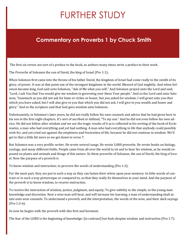## FURTHER STUDY

#### **Commentary on Proverbs 1 by Chuck Smith**

The first six verses are sort of a preface to the book, as authors many times write a preface to their work.

The Proverbs of Solomon the son of David, the king of Israel (Pro 1:1);

When Solomon first came into the throne of his father David, the kingdom of Israel had come really to the zenith of its glory, of power. It was at that point one of the strongest kingdoms in the world. Blessed of God mightily. And when Solomon became king, God said unto Solomon, "Ask of Me what you will." And Solomon prayed unto the Lord and said, "Lord, I ask You that You would give me wisdom in governing over these Your people." And so the Lord said unto Solomon, "Inasmuch as you did not ask for fame or riches or honor, but you asked for wisdom, I will grant unto you that which you have asked, but I will also give to you that which you did not ask. I will give to you wealth and honor and glory." And so the scripture said that God gave wisdom unto Solomon.

Unfortunately, in Solomon's later years, he did not really follow his own counsels and advice that he had given here to his son in the first eight chapters. It's sort of ascribed or defined, "To my son." And he did not even follow his own advice. He did not follow after wisdom and we see the tragic results of it as is reflected in his writing of the book of Ecclesiastes, a man who had everything and yet had nothing. A man who had everything in life that anybody could possibly wish for, and yet cried out against the emptiness and frustration of life, because he did not continue in wisdom. We'll get to that a little bit more as we get down to verse 7.

But Solomon was a very prolific writer. He wrote several songs. He wrote 3,000 proverbs. He wrote books on biology, zoology, and many different fields. People came from all over the world to sit and to hear his wisdom, as he would expound on plants and animals and things of this nature. So these proverbs of Solomon, the son of David, the king of Israel. Now the purpose of a proverb is

To know wisdom and instruction; to perceive the words of understanding (Pro 1:2);

For the most part, they are put in such a way as they can fasten their selves upon your memory. In little words of contrast or in such a way picturesque or compared to, so that they really fix themselves in your mind. And the purpose of the proverb is to know wisdom, to receive instruction.

To receive the instruction of wisdom, justice, judgment, and equity; To give subtilty to the simple, to the young man knowledge and discretion. Now a wise man will hear, and will increase his learning; a man of understanding shall attain unto wise counsels: To understand a proverb, and the interpretation; the words of the wise, and their dark sayings (Pro 1:3-6).

So now he begins with the proverb with this first and foremost.

The fear of the LORD is the beginning of knowledge: [in contrast] but fools despise wisdom and instruction (Pro 1:7).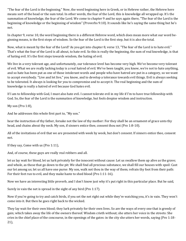"The fear of the Lord is the beginning." Now, the word beginning here in Greek, or in Hebrew rather, the Hebrew here means sort of the head or the sum total. In other words, the fear of the Lord, this is knowledge all wrapped up. It's the summation of knowledge, the fear of the Lord. We come to chapter 9 and he says again there, "The fear of the Lord is the beginning of knowledge or the beginning of wisdom" (Proverbs 9:10). It sounds like he's saying the same thing but he's not.

In chapter 9, verse 10, the word beginning there is a different Hebrew word, which does mean more what our word beginning means, is the first steps of wisdom. So the fear of the Lord is the first step, but it is also the total.

Now, what is meant by the fear of the Lord? As you get into chapter 8, verse 13, "The fear of the Lord is to hate evil." That's what the fear of the Lord is all about, to hate evil. So this is really the beginning, the sum of real knowledge, is that of hating evil. It's the first steps towards wisdom, the hating of evil.

We live in a very tolerant age, and unfortunately, our tolerance level has become very high. We've become very tolerant of evil. What we are really lacking today is a real hatred of evil. We've been taught, you know, we're not to hate anything, and so hate has been put as one of those intolerant words and people who have hatred are put in a category, so we want to accept everybody. "Live and let live," you know, and to develop a tolerance towards evil things. Evil is always seeking to be tolerated. It always is looking for you to compromise and to accept it. The real beginning and the sum of knowledge is really a hatred of evil because God hates evil.

If I am to fellowship with God, I must also hate evil. I cannot tolerate evil in my life if I'm to have true fellowship with God. So, the fear of the Lord is the summation of knowledge, but fools despise wisdom and instruction.

My son (Pro 1:8),

And he addresses this whole first part to, "My son."

hear the instruction of thy father, forsake not the law of thy mother: For they shall be an ornament of grace unto thy head, and chains about thy neck. My son, if sinners entice thee, consent thou not (Pro 1:8-10).

All of the invitations of evil that we are presented with week by week, but don't consent. If sinners entice thee, consent not.

If they say, Come with us (Pro 1:11),

And, of course, these guys are really real robbers and all.

let us lay wait for blood, let us lurk privately for the innocent without cause: Let us swallow them up alive as the grave; and whole, as those that go down to the pit: We shall find all precious substance, we shall fill our houses with spoil: Cast our lot among us; let us all have one purse: My son, walk not thou in the way of them; refrain thy foot from their path: For their feet run to evil, and they make haste to shed blood (Pro 1:11-16).

Now we have an interesting little proverb, and I don't know just why it's put right in this particular place. But he said,

Surely in vain the net is spread in the sight of any bird (Pro 1:17).

Now if you're going to try and catch birds, if you set the net right out while they're watching you, it's in vain. They won't come into it. But then he goes right back to the wicked.

They lay wait for their own blood; they lurk privately for their own lives. So are the ways of every one that is greedy of gain; which takes away the life of the owners thereof. Wisdom crieth without; she utters her voice in the streets: She cries in the chief place of the concourse, in the openings of the gates: in the city she utters her words, saying (Pro 1:18- 21),